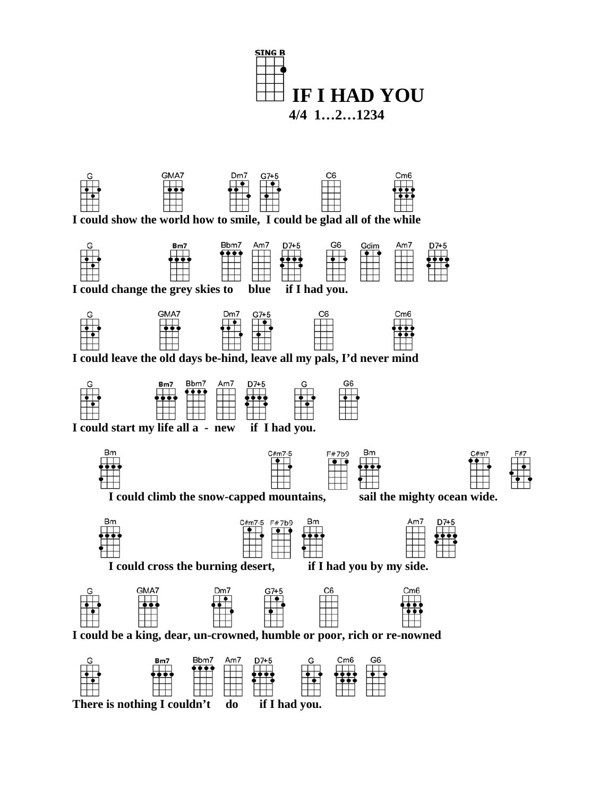



 **I could show the world how to smile, I could be glad all of the while**



 **I could change the grey skies to blue if I had you.**



 **I could leave the old days be-hind, leave all my pals, I'd never mind**



 **I could start my life all a - new if I had you.**







 **I could climb the snow-capped mountains, sail the mighty ocean wide.**





 $C#m7-5$ 



 **I could cross the burning desert, if I had you by my side.**





 **There is nothing I couldn't do if I had you.**